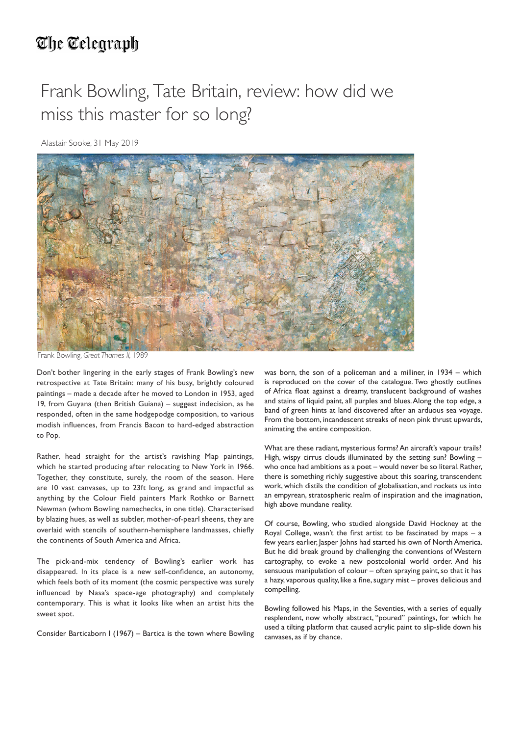## The Telegraph

## Frank Bowling, Tate Britain, review: how did we miss this master for so long?

Alastair Sooke, 31 May 2019



Frank Bowling, *Great Thames II,* 1989

Don't bother lingering in the early stages of Frank Bowling's new retrospective at Tate Britain: many of his busy, brightly coloured paintings – made a decade after he moved to London in 1953, aged 19, from Guyana (then British Guiana) – suggest indecision, as he responded, often in the same hodgepodge composition, to various modish influences, from Francis Bacon to hard-edged abstraction to Pop.

Rather, head straight for the artist's ravishing Map paintings, which he started producing after relocating to New York in 1966. Together, they constitute, surely, the room of the season. Here are 10 vast canvases, up to 23ft long, as grand and impactful as anything by the Colour Field painters Mark Rothko or Barnett Newman (whom Bowling namechecks, in one title). Characterised by blazing hues, as well as subtler, mother-of-pearl sheens, they are overlaid with stencils of southern-hemisphere landmasses, chiefly the continents of South America and Africa.

The pick-and-mix tendency of Bowling's earlier work has disappeared. In its place is a new self-confidence, an autonomy, which feels both of its moment (the cosmic perspective was surely influenced by Nasa's space-age photography) and completely contemporary. This is what it looks like when an artist hits the sweet spot.

Consider Barticaborn I (1967) – Bartica is the town where Bowling

was born, the son of a policeman and a milliner, in 1934 – which is reproduced on the cover of the catalogue. Two ghostly outlines of Africa float against a dreamy, translucent background of washes and stains of liquid paint, all purples and blues. Along the top edge, a band of green hints at land discovered after an arduous sea voyage. From the bottom, incandescent streaks of neon pink thrust upwards, animating the entire composition.

What are these radiant, mysterious forms? An aircraft's vapour trails? High, wispy cirrus clouds illuminated by the setting sun? Bowling – who once had ambitions as a poet – would never be so literal. Rather, there is something richly suggestive about this soaring, transcendent work, which distils the condition of globalisation, and rockets us into an empyrean, stratospheric realm of inspiration and the imagination, high above mundane reality.

Of course, Bowling, who studied alongside David Hockney at the Royal College, wasn't the first artist to be fascinated by maps  $-$  a few years earlier, Jasper Johns had started his own of North America. But he did break ground by challenging the conventions of Western cartography, to evoke a new postcolonial world order. And his sensuous manipulation of colour – often spraying paint, so that it has a hazy, vaporous quality, like a fine, sugary mist – proves delicious and compelling.

Bowling followed his Maps, in the Seventies, with a series of equally resplendent, now wholly abstract, "poured" paintings, for which he used a tilting platform that caused acrylic paint to slip-slide down his canvases, as if by chance.